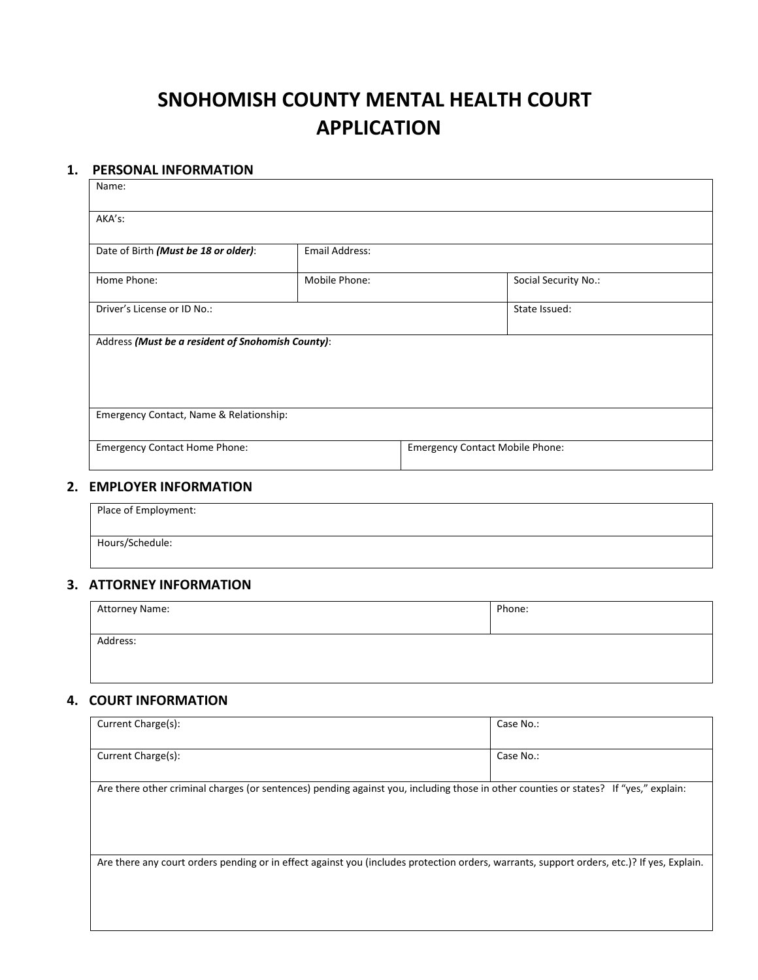## **SNOHOMISH COUNTY MENTAL HEALTH COURT APPLICATION**

#### **1. PERSONAL INFORMATION**

| Name:                                             |                       |                                        |
|---------------------------------------------------|-----------------------|----------------------------------------|
| AKA's:                                            |                       |                                        |
| Date of Birth (Must be 18 or older):              | <b>Email Address:</b> |                                        |
| Home Phone:                                       | Mobile Phone:         | Social Security No.:                   |
| Driver's License or ID No.:<br>State Issued:      |                       |                                        |
| Address (Must be a resident of Snohomish County): |                       |                                        |
| Emergency Contact, Name & Relationship:           |                       |                                        |
| <b>Emergency Contact Home Phone:</b>              |                       | <b>Emergency Contact Mobile Phone:</b> |

#### **2. EMPLOYER INFORMATION**

| Place of Employment: |  |  |
|----------------------|--|--|
| Hours/Schedule:      |  |  |

#### **3. ATTORNEY INFORMATION**

| Attorney Name: | Phone: |
|----------------|--------|
| Address:       |        |
|                |        |

#### **4. COURT INFORMATION**

| Current Charge(s):                                                                                                                         | Case No.: |
|--------------------------------------------------------------------------------------------------------------------------------------------|-----------|
|                                                                                                                                            |           |
|                                                                                                                                            | Case No.: |
| Current Charge(s):                                                                                                                         |           |
|                                                                                                                                            |           |
| Are there other criminal charges (or sentences) pending against you, including those in other counties or states? If "yes," explain:       |           |
|                                                                                                                                            |           |
|                                                                                                                                            |           |
|                                                                                                                                            |           |
|                                                                                                                                            |           |
| Are there any court orders pending or in effect against you (includes protection orders, warrants, support orders, etc.)? If yes, Explain. |           |
|                                                                                                                                            |           |
|                                                                                                                                            |           |
|                                                                                                                                            |           |
|                                                                                                                                            |           |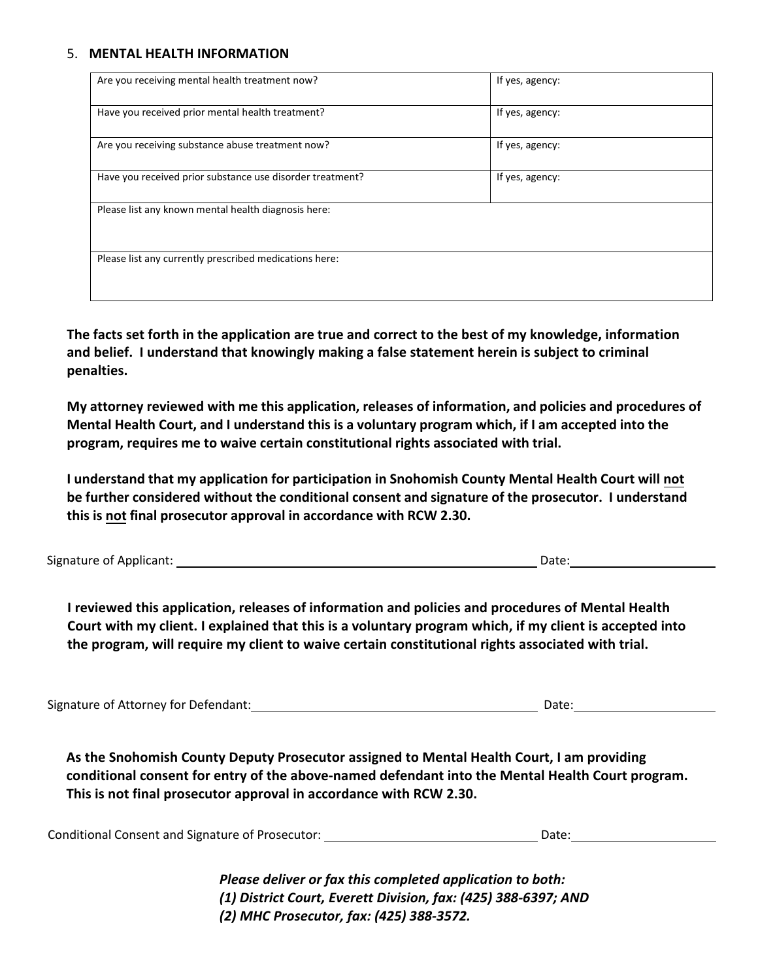#### 5. **MENTAL HEALTH INFORMATION**

| Are you receiving mental health treatment now?            | If yes, agency: |
|-----------------------------------------------------------|-----------------|
| Have you received prior mental health treatment?          | If yes, agency: |
| Are you receiving substance abuse treatment now?          | If yes, agency: |
| Have you received prior substance use disorder treatment? | If yes, agency: |
| Please list any known mental health diagnosis here:       |                 |
| Please list any currently prescribed medications here:    |                 |

**The facts set forth in the application are true and correct to the best of my knowledge, information and belief. I understand that knowingly making a false statement herein is subject to criminal penalties.**

**My attorney reviewed with me this application, releases of information, and policies and procedures of Mental Health Court, and I understand this is a voluntary program which, if I am accepted into the program, requires me to waive certain constitutional rights associated with trial.**

**I understand that my application for participation in Snohomish County Mental Health Court will not be further considered without the conditional consent and signature of the prosecutor. I understand this is not final prosecutor approval in accordance with RCW 2.30.**

Signature of Applicant: Date:

**I reviewed this application, releases of information and policies and procedures of Mental Health Court with my client. I explained that this is a voluntary program which, if my client is accepted into the program, will require my client to waive certain constitutional rights associated with trial.**

Signature of Attorney for Defendant: Date: Date: Date: Date: Date: Date: Date: Date: Date: Date: Date: Date: D

**As the Snohomish County Deputy Prosecutor assigned to Mental Health Court, I am providing conditional consent for entry of the above-named defendant into the Mental Health Court program. This is not final prosecutor approval in accordance with RCW 2.30.**

|  | Conditional Consent and Signature of Prosecutor: |  | Date: |
|--|--------------------------------------------------|--|-------|
|--|--------------------------------------------------|--|-------|

*Please deliver or fax this completed application to both: (1) District Court, Everett Division, fax: (425) 388-6397; AND (2) MHC Prosecutor, fax: (425) 388-3572.*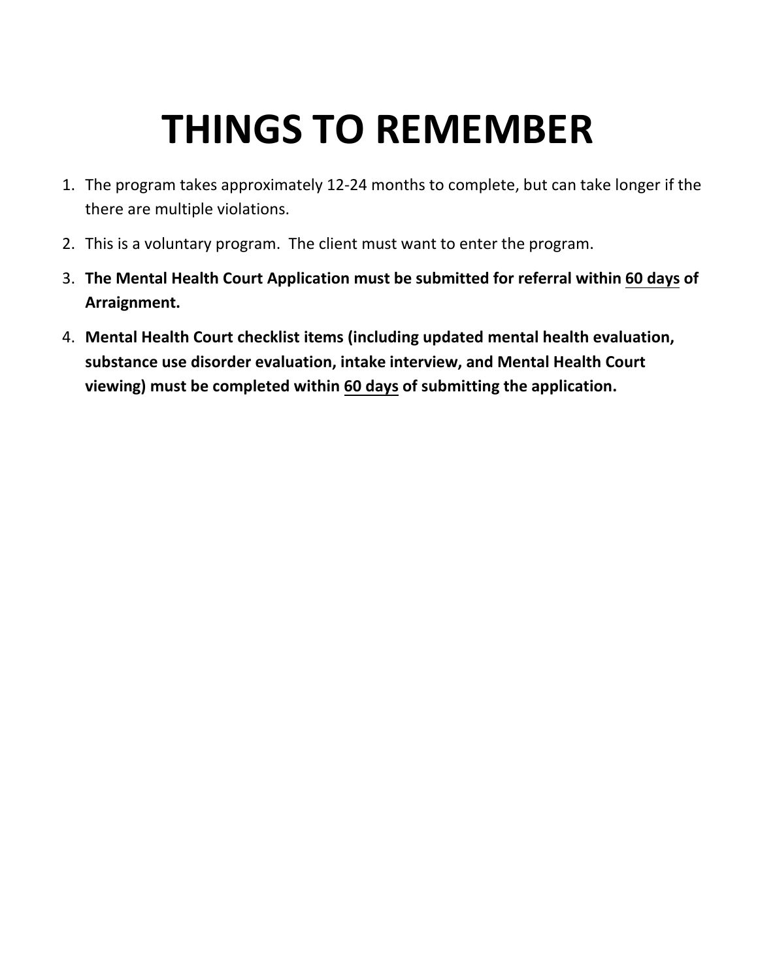# **THINGS TO REMEMBER**

- 1. The program takes approximately 12-24 months to complete, but can take longer if the there are multiple violations.
- 2. This is a voluntary program. The client must want to enter the program.
- 3. **The Mental Health Court Application must be submitted for referral within 60 days of Arraignment.**
- 4. **Mental Health Court checklist items (including updated mental health evaluation, substance use disorder evaluation, intake interview, and Mental Health Court viewing) must be completed within 60 days of submitting the application.**